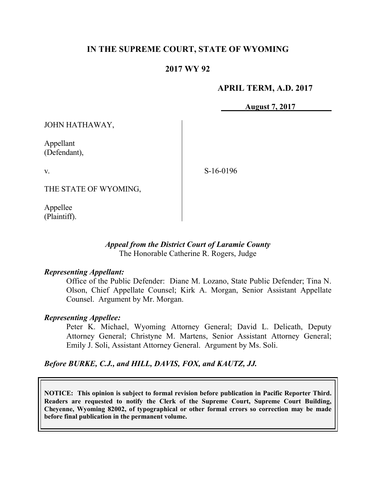## **IN THE SUPREME COURT, STATE OF WYOMING**

## **2017 WY 92**

### **APRIL TERM, A.D. 2017**

**August 7, 2017**

JOHN HATHAWAY,

Appellant (Defendant),

v.

S-16-0196

THE STATE OF WYOMING,

Appellee (Plaintiff).

### *Appeal from the District Court of Laramie County* The Honorable Catherine R. Rogers, Judge

#### *Representing Appellant:*

Office of the Public Defender: Diane M. Lozano, State Public Defender; Tina N. Olson, Chief Appellate Counsel; Kirk A. Morgan, Senior Assistant Appellate Counsel. Argument by Mr. Morgan.

#### *Representing Appellee:*

Peter K. Michael, Wyoming Attorney General; David L. Delicath, Deputy Attorney General; Christyne M. Martens, Senior Assistant Attorney General; Emily J. Soli, Assistant Attorney General. Argument by Ms. Soli.

*Before BURKE, C.J., and HILL, DAVIS, FOX, and KAUTZ, JJ.*

**NOTICE: This opinion is subject to formal revision before publication in Pacific Reporter Third. Readers are requested to notify the Clerk of the Supreme Court, Supreme Court Building, Cheyenne, Wyoming 82002, of typographical or other formal errors so correction may be made before final publication in the permanent volume.**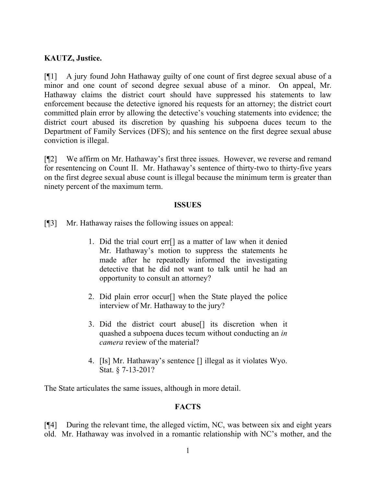## **KAUTZ, Justice.**

[¶1] A jury found John Hathaway guilty of one count of first degree sexual abuse of a minor and one count of second degree sexual abuse of a minor. On appeal, Mr. Hathaway claims the district court should have suppressed his statements to law enforcement because the detective ignored his requests for an attorney; the district court committed plain error by allowing the detective's vouching statements into evidence; the district court abused its discretion by quashing his subpoena duces tecum to the Department of Family Services (DFS); and his sentence on the first degree sexual abuse conviction is illegal.

[¶2] We affirm on Mr. Hathaway's first three issues. However, we reverse and remand for resentencing on Count II. Mr. Hathaway's sentence of thirty-two to thirty-five years on the first degree sexual abuse count is illegal because the minimum term is greater than ninety percent of the maximum term.

### **ISSUES**

[¶3] Mr. Hathaway raises the following issues on appeal:

- 1. Did the trial court err[] as a matter of law when it denied Mr. Hathaway's motion to suppress the statements he made after he repeatedly informed the investigating detective that he did not want to talk until he had an opportunity to consult an attorney?
- 2. Did plain error occur[] when the State played the police interview of Mr. Hathaway to the jury?
- 3. Did the district court abuse[] its discretion when it quashed a subpoena duces tecum without conducting an *in camera* review of the material?
- 4. [Is] Mr. Hathaway's sentence [] illegal as it violates Wyo. Stat. § 7-13-201?

The State articulates the same issues, although in more detail.

# **FACTS**

[¶4] During the relevant time, the alleged victim, NC, was between six and eight years old. Mr. Hathaway was involved in a romantic relationship with NC's mother, and the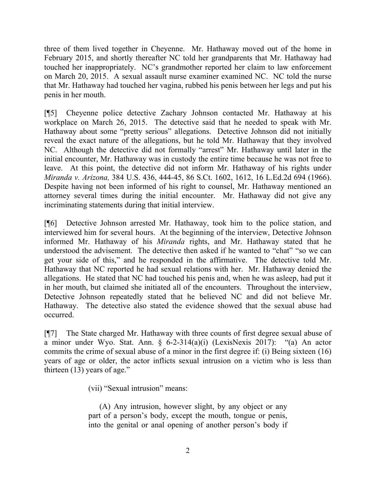three of them lived together in Cheyenne. Mr. Hathaway moved out of the home in February 2015, and shortly thereafter NC told her grandparents that Mr. Hathaway had touched her inappropriately. NC's grandmother reported her claim to law enforcement on March 20, 2015. A sexual assault nurse examiner examined NC. NC told the nurse that Mr. Hathaway had touched her vagina, rubbed his penis between her legs and put his penis in her mouth.

[¶5] Cheyenne police detective Zachary Johnson contacted Mr. Hathaway at his workplace on March 26, 2015. The detective said that he needed to speak with Mr. Hathaway about some "pretty serious" allegations. Detective Johnson did not initially reveal the exact nature of the allegations, but he told Mr. Hathaway that they involved NC. Although the detective did not formally "arrest" Mr. Hathaway until later in the initial encounter, Mr. Hathaway was in custody the entire time because he was not free to leave. At this point, the detective did not inform Mr. Hathaway of his rights under *Miranda v. Arizona,* 384 U.S. 436, 444-45, 86 S.Ct. 1602, 1612, 16 L.Ed.2d 694 (1966). Despite having not been informed of his right to counsel, Mr. Hathaway mentioned an attorney several times during the initial encounter. Mr. Hathaway did not give any incriminating statements during that initial interview.

[¶6] Detective Johnson arrested Mr. Hathaway, took him to the police station, and interviewed him for several hours. At the beginning of the interview, Detective Johnson informed Mr. Hathaway of his *Miranda* rights, and Mr. Hathaway stated that he understood the advisement. The detective then asked if he wanted to "chat" "so we can get your side of this," and he responded in the affirmative. The detective told Mr. Hathaway that NC reported he had sexual relations with her. Mr. Hathaway denied the allegations. He stated that NC had touched his penis and, when he was asleep, had put it in her mouth, but claimed she initiated all of the encounters. Throughout the interview, Detective Johnson repeatedly stated that he believed NC and did not believe Mr. Hathaway. The detective also stated the evidence showed that the sexual abuse had occurred.

[¶7] The State charged Mr. Hathaway with three counts of first degree sexual abuse of a minor under Wyo. Stat. Ann. § 6-2-314(a)(i) (LexisNexis 2017): "(a) An actor commits the crime of sexual abuse of a minor in the first degree if: (i) Being sixteen (16) years of age or older, the actor inflicts sexual intrusion on a victim who is less than thirteen (13) years of age."

(vii) "Sexual intrusion" means:

(A) Any intrusion, however slight, by any object or any part of a person's body, except the mouth, tongue or penis, into the genital or anal opening of another person's body if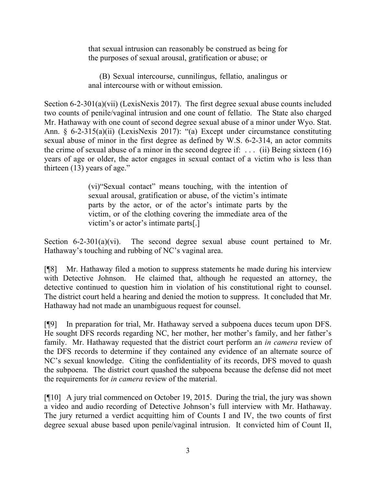that sexual intrusion can reasonably be construed as being for the purposes of sexual arousal, gratification or abuse; or

(B) Sexual intercourse, cunnilingus, fellatio, analingus or anal intercourse with or without emission.

Section 6-2-301(a)(vii) (LexisNexis 2017). The first degree sexual abuse counts included two counts of penile/vaginal intrusion and one count of fellatio. The State also charged Mr. Hathaway with one count of second degree sexual abuse of a minor under Wyo. Stat. Ann. § 6-2-315(a)(ii) (LexisNexis 2017): "(a) Except under circumstance constituting sexual abuse of minor in the first degree as defined by W.S. 6-2-314, an actor commits the crime of sexual abuse of a minor in the second degree if: ... (ii) Being sixteen (16) years of age or older, the actor engages in sexual contact of a victim who is less than thirteen (13) years of age."

> (vi)"Sexual contact" means touching, with the intention of sexual arousal, gratification or abuse, of the victim's intimate parts by the actor, or of the actor's intimate parts by the victim, or of the clothing covering the immediate area of the victim's or actor's intimate parts[.]

Section 6-2-301(a)(vi). The second degree sexual abuse count pertained to Mr. Hathaway's touching and rubbing of NC's vaginal area.

[¶8] Mr. Hathaway filed a motion to suppress statements he made during his interview with Detective Johnson. He claimed that, although he requested an attorney, the detective continued to question him in violation of his constitutional right to counsel. The district court held a hearing and denied the motion to suppress. It concluded that Mr. Hathaway had not made an unambiguous request for counsel.

[¶9] In preparation for trial, Mr. Hathaway served a subpoena duces tecum upon DFS. He sought DFS records regarding NC, her mother, her mother's family, and her father's family. Mr. Hathaway requested that the district court perform an *in camera* review of the DFS records to determine if they contained any evidence of an alternate source of NC's sexual knowledge. Citing the confidentiality of its records, DFS moved to quash the subpoena. The district court quashed the subpoena because the defense did not meet the requirements for *in camera* review of the material.

[¶10] A jury trial commenced on October 19, 2015. During the trial, the jury was shown a video and audio recording of Detective Johnson's full interview with Mr. Hathaway. The jury returned a verdict acquitting him of Counts I and IV, the two counts of first degree sexual abuse based upon penile/vaginal intrusion. It convicted him of Count II,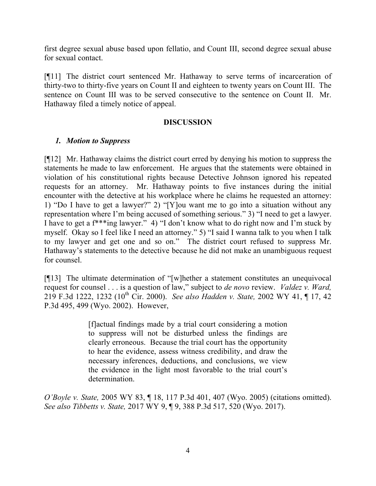first degree sexual abuse based upon fellatio, and Count III, second degree sexual abuse for sexual contact.

[¶11] The district court sentenced Mr. Hathaway to serve terms of incarceration of thirty-two to thirty-five years on Count II and eighteen to twenty years on Count III. The sentence on Count III was to be served consecutive to the sentence on Count II. Mr. Hathaway filed a timely notice of appeal.

### **DISCUSSION**

## *1. Motion to Suppress*

[¶12] Mr. Hathaway claims the district court erred by denying his motion to suppress the statements he made to law enforcement. He argues that the statements were obtained in violation of his constitutional rights because Detective Johnson ignored his repeated requests for an attorney. Mr. Hathaway points to five instances during the initial encounter with the detective at his workplace where he claims he requested an attorney: 1) "Do I have to get a lawyer?" 2) "[Y]ou want me to go into a situation without any representation where I'm being accused of something serious." 3) "I need to get a lawyer. I have to get a f\*\*\*ing lawyer." 4) "I don't know what to do right now and I'm stuck by myself. Okay so I feel like I need an attorney." 5) "I said I wanna talk to you when I talk to my lawyer and get one and so on." The district court refused to suppress Mr. Hathaway's statements to the detective because he did not make an unambiguous request for counsel.

[¶13] The ultimate determination of "[w]hether a statement constitutes an unequivocal request for counsel . . . is a question of law," subject to *de novo* review. *Valdez v. Ward,*  219 F.3d 1222, 1232 (10th Cir. 2000). *See also Hadden v. State,* 2002 WY 41, ¶ 17, 42 P.3d 495, 499 (Wyo. 2002). However,

> [f]actual findings made by a trial court considering a motion to suppress will not be disturbed unless the findings are clearly erroneous. Because the trial court has the opportunity to hear the evidence, assess witness credibility, and draw the necessary inferences, deductions, and conclusions, we view the evidence in the light most favorable to the trial court's determination.

*O'Boyle v. State,* 2005 WY 83, ¶ 18, 117 P.3d 401, 407 (Wyo. 2005) (citations omitted). *See also Tibbetts v. State,* 2017 WY 9, ¶ 9, 388 P.3d 517, 520 (Wyo. 2017).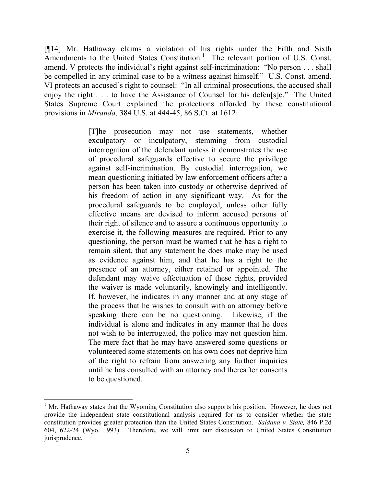[¶14] Mr. Hathaway claims a violation of his rights under the Fifth and Sixth Amendments to the United States Constitution.<sup>1</sup> The relevant portion of U.S. Const. amend. V protects the individual's right against self-incrimination: "No person . . . shall be compelled in any criminal case to be a witness against himself." U.S. Const. amend. VI protects an accused's right to counsel: "In all criminal prosecutions, the accused shall enjoy the right . . . to have the Assistance of Counsel for his defen[s]e." The United States Supreme Court explained the protections afforded by these constitutional provisions in *Miranda,* 384 U.S. at 444-45, 86 S.Ct. at 1612:

> [T]he prosecution may not use statements, whether exculpatory or inculpatory, stemming from custodial interrogation of the defendant unless it demonstrates the use of procedural safeguards effective to secure the privilege against self-incrimination. By custodial interrogation, we mean questioning initiated by law enforcement officers after a person has been taken into custody or otherwise deprived of his freedom of action in any significant way. As for the procedural safeguards to be employed, unless other fully effective means are devised to inform accused persons of their right of silence and to assure a continuous opportunity to exercise it, the following measures are required. Prior to any questioning, the person must be warned that he has a right to remain silent, that any statement he does make may be used as evidence against him, and that he has a right to the presence of an attorney, either retained or appointed. The defendant may waive effectuation of these rights, provided the waiver is made voluntarily, knowingly and intelligently. If, however, he indicates in any manner and at any stage of the process that he wishes to consult with an attorney before speaking there can be no questioning. Likewise, if the individual is alone and indicates in any manner that he does not wish to be interrogated, the police may not question him. The mere fact that he may have answered some questions or volunteered some statements on his own does not deprive him of the right to refrain from answering any further inquiries until he has consulted with an attorney and thereafter consents to be questioned.

 $\overline{a}$ 

 $<sup>1</sup>$  Mr. Hathaway states that the Wyoming Constitution also supports his position. However, he does not</sup> provide the independent state constitutional analysis required for us to consider whether the state constitution provides greater protection than the United States Constitution. *Saldana v. State,* 846 P.2d 604, 622-24 (Wyo. 1993). Therefore, we will limit our discussion to United States Constitution jurisprudence.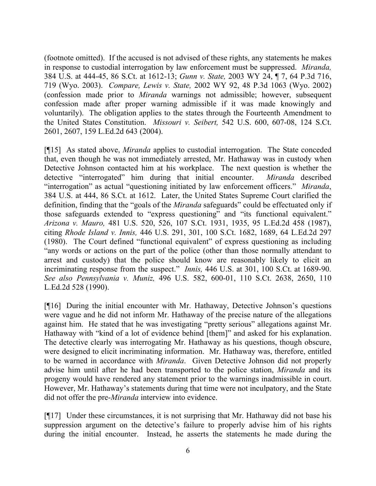(footnote omitted). If the accused is not advised of these rights, any statements he makes in response to custodial interrogation by law enforcement must be suppressed. *Miranda,*  384 U.S. at 444-45, 86 S.Ct. at 1612-13; *Gunn v. State,* 2003 WY 24, ¶ 7, 64 P.3d 716, 719 (Wyo. 2003). *Compare, Lewis v. State,* 2002 WY 92, 48 P.3d 1063 (Wyo. 2002) (confession made prior to *Miranda* warnings not admissible; however, subsequent confession made after proper warning admissible if it was made knowingly and voluntarily). The obligation applies to the states through the Fourteenth Amendment to the United States Constitution. *Missouri v. Seibert,* 542 U.S. 600, 607-08, 124 S.Ct. 2601, 2607, 159 L.Ed.2d 643 (2004).

[¶15] As stated above, *Miranda* applies to custodial interrogation. The State conceded that, even though he was not immediately arrested, Mr. Hathaway was in custody when Detective Johnson contacted him at his workplace. The next question is whether the detective "interrogated" him during that initial encounter. *Miranda* described "interrogation" as actual "questioning initiated by law enforcement officers." *Miranda*, 384 U.S. at 444, 86 S.Ct. at 1612. Later, the United States Supreme Court clarified the definition, finding that the "goals of the *Miranda* safeguards" could be effectuated only if those safeguards extended to "express questioning" and "its functional equivalent." *Arizona v. Mauro,* 481 U.S. 520, 526, 107 S.Ct. 1931, 1935, 95 L.Ed.2d 458 (1987), citing *Rhode Island v. Innis,* 446 U.S. 291, 301, 100 S.Ct. 1682, 1689, 64 L.Ed.2d 297 (1980). The Court defined "functional equivalent" of express questioning as including "any words or actions on the part of the police (other than those normally attendant to arrest and custody) that the police should know are reasonably likely to elicit an incriminating response from the suspect." *Innis,* 446 U.S. at 301, 100 S.Ct. at 1689-90. *See also Pennsylvania v. Muniz,* 496 U.S. 582, 600-01, 110 S.Ct. 2638, 2650, 110 L.Ed.2d 528 (1990).

[¶16] During the initial encounter with Mr. Hathaway, Detective Johnson's questions were vague and he did not inform Mr. Hathaway of the precise nature of the allegations against him. He stated that he was investigating "pretty serious" allegations against Mr. Hathaway with "kind of a lot of evidence behind [them]" and asked for his explanation. The detective clearly was interrogating Mr. Hathaway as his questions, though obscure, were designed to elicit incriminating information. Mr. Hathaway was, therefore, entitled to be warned in accordance with *Miranda*. Given Detective Johnson did not properly advise him until after he had been transported to the police station, *Miranda* and its progeny would have rendered any statement prior to the warnings inadmissible in court. However, Mr. Hathaway's statements during that time were not inculpatory, and the State did not offer the pre-*Miranda* interview into evidence.

[¶17] Under these circumstances, it is not surprising that Mr. Hathaway did not base his suppression argument on the detective's failure to properly advise him of his rights during the initial encounter. Instead, he asserts the statements he made during the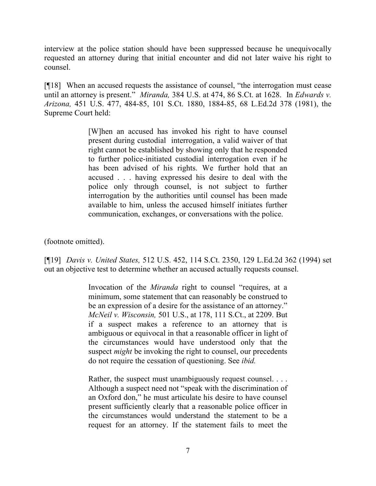interview at the police station should have been suppressed because he unequivocally requested an attorney during that initial encounter and did not later waive his right to counsel.

[¶18] When an accused requests the assistance of counsel, "the interrogation must cease until an attorney is present." *Miranda,* 384 U.S. at 474, 86 S.Ct. at 1628. In *Edwards v. Arizona,* 451 U.S. 477, 484-85, 101 S.Ct. 1880, 1884-85, 68 L.Ed.2d 378 (1981), the Supreme Court held:

> [W]hen an accused has invoked his right to have counsel present during custodial interrogation, a valid waiver of that right cannot be established by showing only that he responded to further police-initiated custodial interrogation even if he has been advised of his rights. We further hold that an accused . . . having expressed his desire to deal with the police only through counsel, is not subject to further interrogation by the authorities until counsel has been made available to him, unless the accused himself initiates further communication, exchanges, or conversations with the police.

(footnote omitted).

[¶19] *Davis v. United States,* 512 U.S. 452, 114 S.Ct. 2350, 129 L.Ed.2d 362 (1994) set out an objective test to determine whether an accused actually requests counsel.

> Invocation of the *Miranda* right to counsel "requires, at a minimum, some statement that can reasonably be construed to be an expression of a desire for the assistance of an attorney." *McNeil v. Wisconsin,* 501 U.S., at 178, 111 S.Ct., at 2209. But if a suspect makes a reference to an attorney that is ambiguous or equivocal in that a reasonable officer in light of the circumstances would have understood only that the suspect *might* be invoking the right to counsel, our precedents do not require the cessation of questioning. See *ibid.*

> Rather, the suspect must unambiguously request counsel. . . . Although a suspect need not "speak with the discrimination of an Oxford don," he must articulate his desire to have counsel present sufficiently clearly that a reasonable police officer in the circumstances would understand the statement to be a request for an attorney. If the statement fails to meet the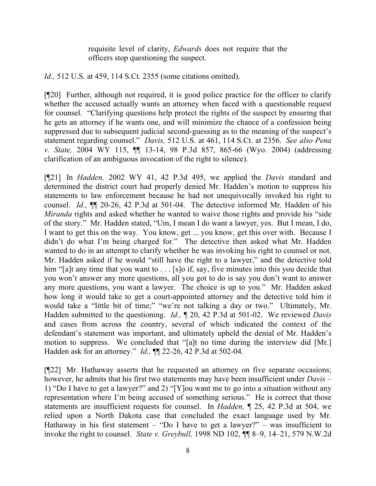requisite level of clarity, *Edwards* does not require that the officers stop questioning the suspect.

*Id.,* 512 U.S. at 459, 114 S.Ct. 2355 (some citations omitted).

[¶20] Further, although not required, it is good police practice for the officer to clarify whether the accused actually wants an attorney when faced with a questionable request for counsel. "Clarifying questions help protect the rights of the suspect by ensuring that he gets an attorney if he wants one, and will minimize the chance of a confession being suppressed due to subsequent judicial second-guessing as to the meaning of the suspect's statement regarding counsel." *Davis,* 512 U.S. at 461, 114 S.Ct. at 2356. *See also Pena v. State,* 2004 WY 115, ¶¶ 13-14, 98 P.3d 857, 865-66 (Wyo. 2004) (addressing clarification of an ambiguous invocation of the right to silence).

[¶21] In *Hadden,* 2002 WY 41, 42 P.3d 495, we applied the *Davis* standard and determined the district court had properly denied Mr. Hadden's motion to suppress his statements to law enforcement because he had not unequivocally invoked his right to counsel. *Id.,* ¶¶ 20-26, 42 P.3d at 501-04. The detective informed Mr. Hadden of his *Miranda* rights and asked whether he wanted to waive those rights and provide his "side" of the story." Mr. Hadden stated, "Um, I mean I do want a lawyer, yes. But I mean, I do, I want to get this on the way. You know, get ... you know, get this over with. Because I didn't do what I'm being charged for." The detective then asked what Mr. Hadden wanted to do in an attempt to clarify whether he was invoking his right to counsel or not. Mr. Hadden asked if he would "still have the right to a lawyer," and the detective told him "[a]t any time that you want to . . . [s]o if, say, five minutes into this you decide that you won't answer any more questions, all you got to do is say you don't want to answer any more questions, you want a lawyer. The choice is up to you." Mr. Hadden asked how long it would take to get a court-appointed attorney and the detective told him it would take a "little bit of time;" "we're not talking a day or two." Ultimately, Mr. Hadden submitted to the questioning. *Id.,* ¶ 20, 42 P.3d at 501-02. We reviewed *Davis*  and cases from across the country, several of which indicated the context of the defendant's statement was important, and ultimately upheld the denial of Mr. Hadden's motion to suppress. We concluded that "[a]t no time during the interview did [Mr.] Hadden ask for an attorney." *Id.,* ¶¶ 22-26, 42 P.3d at 502-04.

[¶22] Mr. Hathaway asserts that he requested an attorney on five separate occasions; however, he admits that his first two statements may have been insufficient under *Davis* – 1) "Do I have to get a lawyer?" and 2) "[Y]ou want me to go into a situation without any representation where I'm being accused of something serious." He is correct that those statements are insufficient requests for counsel. In *Hadden,* ¶ 25, 42 P.3d at 504, we relied upon a North Dakota case that concluded the exact language used by Mr. Hathaway in his first statement – "Do I have to get a lawyer?" – was insufficient to invoke the right to counsel. *State v. Greybull,* 1998 ND 102, ¶¶ 8–9, 14–21, 579 N.W.2d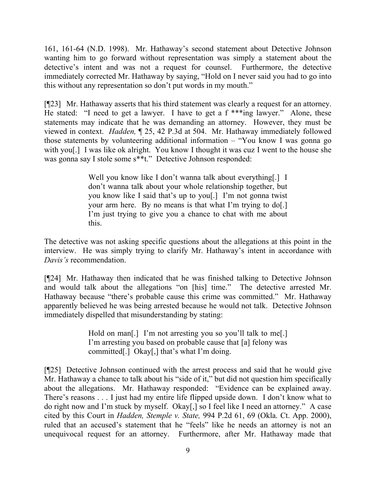161, 161-64 (N.D. 1998). Mr. Hathaway's second statement about Detective Johnson wanting him to go forward without representation was simply a statement about the detective's intent and was not a request for counsel. Furthermore, the detective immediately corrected Mr. Hathaway by saying, "Hold on I never said you had to go into this without any representation so don't put words in my mouth."

[¶23] Mr. Hathaway asserts that his third statement was clearly a request for an attorney. He stated: "I need to get a lawyer. I have to get a f \*\*\*ing lawyer." Alone, these statements may indicate that he was demanding an attorney. However, they must be viewed in context. *Hadden,* ¶ 25, 42 P.3d at 504. Mr. Hathaway immediately followed those statements by volunteering additional information – "You know I was gonna go with you[.] I was like ok alright. You know I thought it was cuz I went to the house she was gonna say I stole some s\*\*t." Detective Johnson responded:

> Well you know like I don't wanna talk about everything[.] I don't wanna talk about your whole relationship together, but you know like I said that's up to you[.] I'm not gonna twist your arm here. By no means is that what I'm trying to do[.] I'm just trying to give you a chance to chat with me about this.

The detective was not asking specific questions about the allegations at this point in the interview. He was simply trying to clarify Mr. Hathaway's intent in accordance with *Davis's* recommendation.

[¶24] Mr. Hathaway then indicated that he was finished talking to Detective Johnson and would talk about the allegations "on [his] time." The detective arrested Mr. Hathaway because "there's probable cause this crime was committed." Mr. Hathaway apparently believed he was being arrested because he would not talk. Detective Johnson immediately dispelled that misunderstanding by stating:

> Hold on man[.] I'm not arresting you so you'll talk to me[.] I'm arresting you based on probable cause that [a] felony was committed[.] Okay[,] that's what I'm doing.

[¶25] Detective Johnson continued with the arrest process and said that he would give Mr. Hathaway a chance to talk about his "side of it," but did not question him specifically about the allegations. Mr. Hathaway responded: "Evidence can be explained away. There's reasons . . . I just had my entire life flipped upside down. I don't know what to do right now and I'm stuck by myself. Okay[,] so I feel like I need an attorney." A case cited by this Court in *Hadden, Stemple v. State,* 994 P.2d 61, 69 (Okla. Ct. App. 2000), ruled that an accused's statement that he "feels" like he needs an attorney is not an unequivocal request for an attorney. Furthermore, after Mr. Hathaway made that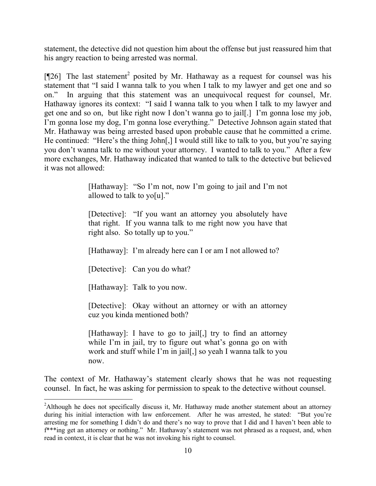statement, the detective did not question him about the offense but just reassured him that his angry reaction to being arrested was normal.

[ $[26]$  The last statement<sup>2</sup> posited by Mr. Hathaway as a request for counsel was his statement that "I said I wanna talk to you when I talk to my lawyer and get one and so on." In arguing that this statement was an unequivocal request for counsel, Mr. Hathaway ignores its context: "I said I wanna talk to you when I talk to my lawyer and get one and so on, but like right now I don't wanna go to jail[.] I'm gonna lose my job, I'm gonna lose my dog, I'm gonna lose everything." Detective Johnson again stated that Mr. Hathaway was being arrested based upon probable cause that he committed a crime. He continued: "Here's the thing John[,] I would still like to talk to you, but you're saying you don't wanna talk to me without your attorney. I wanted to talk to you." After a few more exchanges, Mr. Hathaway indicated that wanted to talk to the detective but believed it was not allowed:

> [Hathaway]: "So I'm not, now I'm going to jail and I'm not allowed to talk to yo[u]."

> [Detective]: "If you want an attorney you absolutely have that right. If you wanna talk to me right now you have that right also. So totally up to you."

[Hathaway]: I'm already here can I or am I not allowed to?

[Detective]: Can you do what?

[Hathaway]: Talk to you now.

 $\overline{a}$ 

[Detective]: Okay without an attorney or with an attorney cuz you kinda mentioned both?

[Hathaway]: I have to go to jail[,] try to find an attorney while I'm in jail, try to figure out what's gonna go on with work and stuff while I'm in jail[,] so yeah I wanna talk to you now.

The context of Mr. Hathaway's statement clearly shows that he was not requesting counsel. In fact, he was asking for permission to speak to the detective without counsel.

<sup>&</sup>lt;sup>2</sup>Although he does not specifically discuss it, Mr. Hathaway made another statement about an attorney during his initial interaction with law enforcement. After he was arrested, he stated: "But you're arresting me for something I didn't do and there's no way to prove that I did and I haven't been able to f\*\*\*ing get an attorney or nothing." Mr. Hathaway's statement was not phrased as a request, and, when read in context, it is clear that he was not invoking his right to counsel.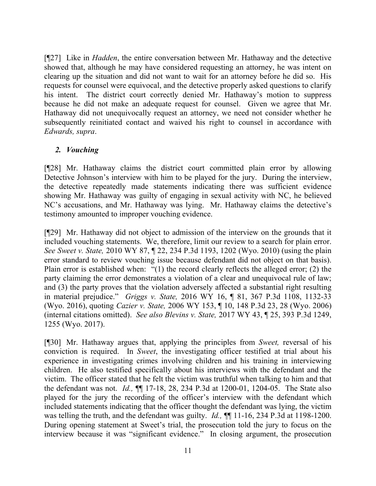[¶27] Like in *Hadden*, the entire conversation between Mr. Hathaway and the detective showed that, although he may have considered requesting an attorney, he was intent on clearing up the situation and did not want to wait for an attorney before he did so. His requests for counsel were equivocal, and the detective properly asked questions to clarify his intent. The district court correctly denied Mr. Hathaway's motion to suppress because he did not make an adequate request for counsel. Given we agree that Mr. Hathaway did not unequivocally request an attorney, we need not consider whether he subsequently reinitiated contact and waived his right to counsel in accordance with *Edwards, supra*.

## *2. Vouching*

[¶28] Mr. Hathaway claims the district court committed plain error by allowing Detective Johnson's interview with him to be played for the jury. During the interview, the detective repeatedly made statements indicating there was sufficient evidence showing Mr. Hathaway was guilty of engaging in sexual activity with NC, he believed NC's accusations, and Mr. Hathaway was lying. Mr. Hathaway claims the detective's testimony amounted to improper vouching evidence.

[¶29] Mr. Hathaway did not object to admission of the interview on the grounds that it included vouching statements. We, therefore, limit our review to a search for plain error. *See Sweet v. State,* 2010 WY 87, ¶ 22, 234 P.3d 1193, 1202 (Wyo. 2010) (using the plain error standard to review vouching issue because defendant did not object on that basis). Plain error is established when: "(1) the record clearly reflects the alleged error; (2) the party claiming the error demonstrates a violation of a clear and unequivocal rule of law; and (3) the party proves that the violation adversely affected a substantial right resulting in material prejudice." *Griggs v. State,* 2016 WY 16, ¶ 81, 367 P.3d 1108, 1132-33 (Wyo. 2016), quoting *Cazier v. State,* 2006 WY 153, ¶ 10, 148 P.3d 23, 28 (Wyo. 2006) (internal citations omitted). *See also Blevins v. State,* 2017 WY 43, ¶ 25, 393 P.3d 1249, 1255 (Wyo. 2017).

[¶30] Mr. Hathaway argues that, applying the principles from *Sweet,* reversal of his conviction is required. In *Sweet*, the investigating officer testified at trial about his experience in investigating crimes involving children and his training in interviewing children. He also testified specifically about his interviews with the defendant and the victim. The officer stated that he felt the victim was truthful when talking to him and that the defendant was not. *Id.,* ¶¶ 17-18, 28, 234 P.3d at 1200-01, 1204-05. The State also played for the jury the recording of the officer's interview with the defendant which included statements indicating that the officer thought the defendant was lying, the victim was telling the truth, and the defendant was guilty. *Id.*, **¶** 11-16, 234 P.3d at 1198-1200. During opening statement at Sweet's trial, the prosecution told the jury to focus on the interview because it was "significant evidence." In closing argument, the prosecution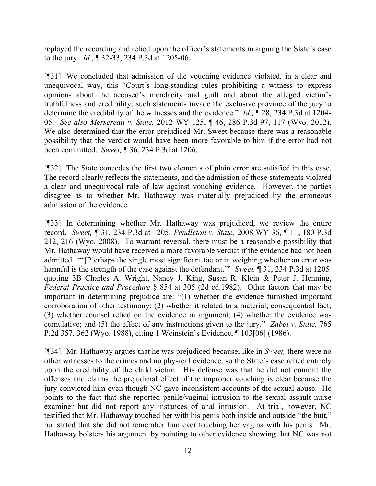replayed the recording and relied upon the officer's statements in arguing the State's case to the jury. *Id.,* ¶ 32-33, 234 P.3d at 1205-06.

[¶31] We concluded that admission of the vouching evidence violated, in a clear and unequivocal way, this "Court's long-standing rules prohibiting a witness to express opinions about the accused's mendacity and guilt and about the alleged victim's truthfulness and credibility; such statements invade the exclusive province of the jury to determine the credibility of the witnesses and the evidence." *Id.*,  $\hat{\P}$  28, 234 P.3d at 1204-05. *See also Mersereau v. State,* 2012 WY 125, ¶ 46, 286 P.3d 97, 117 (Wyo. 2012). We also determined that the error prejudiced Mr. Sweet because there was a reasonable possibility that the verdict would have been more favorable to him if the error had not been committed. *Sweet,* ¶ 36, 234 P.3d at 1206.

[¶32] The State concedes the first two elements of plain error are satisfied in this case. The record clearly reflects the statements, and the admission of those statements violated a clear and unequivocal rule of law against vouching evidence*.* However, the parties disagree as to whether Mr. Hathaway was materially prejudiced by the erroneous admission of the evidence.

[¶33] In determining whether Mr. Hathaway was prejudiced, we review the entire record. *Sweet,* ¶ 31, 234 P.3d at 1205; *Pendleton v. State,* 2008 WY 36, ¶ 11, 180 P.3d 212, 216 (Wyo. 2008). To warrant reversal, there must be a reasonable possibility that Mr. Hathaway would have received a more favorable verdict if the evidence had not been admitted. "'[P]erhaps the single most significant factor in weighing whether an error was harmful is the strength of the case against the defendant.'" *Sweet,* ¶ 31, 234 P.3d at 1205*,*  quoting 3B Charles A. Wright, Nancy J. King, Susan R. Klein & Peter J. Henning, *Federal Practice and Procedure* § 854 at 305 (2d ed.1982). Other factors that may be important in determining prejudice are: "(1) whether the evidence furnished important corroboration of other testimony; (2) whether it related to a material, consequential fact; (3) whether counsel relied on the evidence in argument; (4) whether the evidence was cumulative; and (5) the effect of any instructions given to the jury." *Zabel v. State,* 765 P.2d 357, 362 (Wyo. 1988), citing 1 Weinstein's Evidence, ¶ 103[06] (1986).

[¶34] Mr. Hathaway argues that he was prejudiced because, like in *Sweet,* there were no other witnesses to the crimes and no physical evidence, so the State's case relied entirely upon the credibility of the child victim. His defense was that he did not commit the offenses and claims the prejudicial effect of the improper vouching is clear because the jury convicted him even though NC gave inconsistent accounts of the sexual abuse. He points to the fact that she reported penile/vaginal intrusion to the sexual assault nurse examiner but did not report any instances of anal intrusion. At trial, however, NC testified that Mr. Hathaway touched her with his penis both inside and outside "the butt," but stated that she did not remember him ever touching her vagina with his penis. Mr. Hathaway bolsters his argument by pointing to other evidence showing that NC was not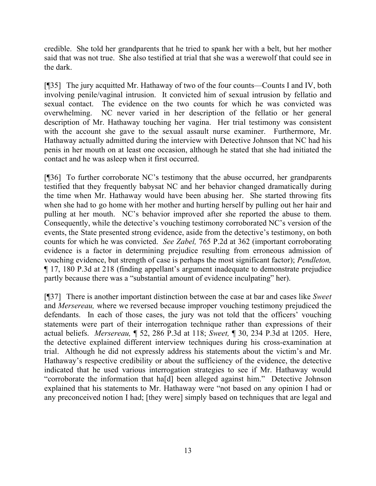credible. She told her grandparents that he tried to spank her with a belt, but her mother said that was not true. She also testified at trial that she was a werewolf that could see in the dark.

[¶35] The jury acquitted Mr. Hathaway of two of the four counts—Counts I and IV, both involving penile/vaginal intrusion. It convicted him of sexual intrusion by fellatio and sexual contact. The evidence on the two counts for which he was convicted was overwhelming. NC never varied in her description of the fellatio or her general description of Mr. Hathaway touching her vagina. Her trial testimony was consistent with the account she gave to the sexual assault nurse examiner. Furthermore, Mr. Hathaway actually admitted during the interview with Detective Johnson that NC had his penis in her mouth on at least one occasion, although he stated that she had initiated the contact and he was asleep when it first occurred.

[¶36] To further corroborate NC's testimony that the abuse occurred, her grandparents testified that they frequently babysat NC and her behavior changed dramatically during the time when Mr. Hathaway would have been abusing her. She started throwing fits when she had to go home with her mother and hurting herself by pulling out her hair and pulling at her mouth. NC's behavior improved after she reported the abuse to them. Consequently, while the detective's vouching testimony corroborated NC's version of the events, the State presented strong evidence, aside from the detective's testimony, on both counts for which he was convicted. *See Zabel,* 765 P.2d at 362 (important corroborating evidence is a factor in determining prejudice resulting from erroneous admission of vouching evidence, but strength of case is perhaps the most significant factor); *Pendleton,* ¶ 17, 180 P.3d at 218 (finding appellant's argument inadequate to demonstrate prejudice partly because there was a "substantial amount of evidence inculpating" her).

[¶37] There is another important distinction between the case at bar and cases like *Sweet*  and *Mersereau,* where we reversed because improper vouching testimony prejudiced the defendants. In each of those cases, the jury was not told that the officers' vouching statements were part of their interrogation technique rather than expressions of their actual beliefs. *Mersereau,* ¶ 52, 286 P.3d at 118; *Sweet,* ¶ 30, 234 P.3d at 1205. Here, the detective explained different interview techniques during his cross-examination at trial. Although he did not expressly address his statements about the victim's and Mr. Hathaway's respective credibility or about the sufficiency of the evidence, the detective indicated that he used various interrogation strategies to see if Mr. Hathaway would "corroborate the information that ha[d] been alleged against him." Detective Johnson explained that his statements to Mr. Hathaway were "not based on any opinion I had or any preconceived notion I had; [they were] simply based on techniques that are legal and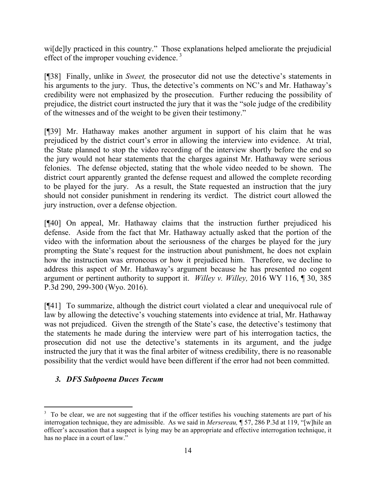wi[de]ly practiced in this country." Those explanations helped ameliorate the prejudicial effect of the improper vouching evidence.<sup>3</sup>

[¶38] Finally, unlike in *Sweet,* the prosecutor did not use the detective's statements in his arguments to the jury. Thus, the detective's comments on NC's and Mr. Hathaway's credibility were not emphasized by the prosecution. Further reducing the possibility of prejudice, the district court instructed the jury that it was the "sole judge of the credibility of the witnesses and of the weight to be given their testimony."

[¶39] Mr. Hathaway makes another argument in support of his claim that he was prejudiced by the district court's error in allowing the interview into evidence. At trial, the State planned to stop the video recording of the interview shortly before the end so the jury would not hear statements that the charges against Mr. Hathaway were serious felonies. The defense objected, stating that the whole video needed to be shown. The district court apparently granted the defense request and allowed the complete recording to be played for the jury. As a result, the State requested an instruction that the jury should not consider punishment in rendering its verdict. The district court allowed the jury instruction, over a defense objection.

[¶40] On appeal, Mr. Hathaway claims that the instruction further prejudiced his defense. Aside from the fact that Mr. Hathaway actually asked that the portion of the video with the information about the seriousness of the charges be played for the jury prompting the State's request for the instruction about punishment, he does not explain how the instruction was erroneous or how it prejudiced him. Therefore, we decline to address this aspect of Mr. Hathaway's argument because he has presented no cogent argument or pertinent authority to support it. *Willey v. Willey,* 2016 WY 116, ¶ 30, 385 P.3d 290, 299-300 (Wyo. 2016).

[¶41] To summarize, although the district court violated a clear and unequivocal rule of law by allowing the detective's vouching statements into evidence at trial, Mr. Hathaway was not prejudiced. Given the strength of the State's case, the detective's testimony that the statements he made during the interview were part of his interrogation tactics, the prosecution did not use the detective's statements in its argument, and the judge instructed the jury that it was the final arbiter of witness credibility, there is no reasonable possibility that the verdict would have been different if the error had not been committed.

# *3. DFS Subpoena Duces Tecum*

l

<sup>&</sup>lt;sup>3</sup> To be clear, we are not suggesting that if the officer testifies his vouching statements are part of his interrogation technique, they are admissible. As we said in *Mersereau,* ¶ 57, 286 P.3d at 119, "[w]hile an officer's accusation that a suspect is lying may be an appropriate and effective interrogation technique, it has no place in a court of law."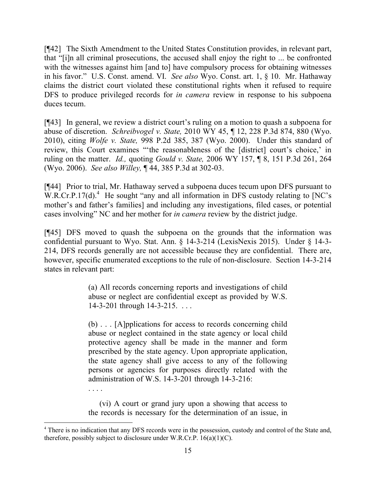[¶42] The Sixth Amendment to the United States Constitution provides, in relevant part, that "[i]n all criminal prosecutions, the accused shall enjoy the right to ... be confronted with the witnesses against him [and to] have compulsory process for obtaining witnesses in his favor." U.S. Const. amend. VI. *See also* Wyo. Const. art. 1, § 10. Mr. Hathaway claims the district court violated these constitutional rights when it refused to require DFS to produce privileged records for *in camera* review in response to his subpoena duces tecum.

[¶43] In general, we review a district court's ruling on a motion to quash a subpoena for abuse of discretion. *Schreibvogel v. State,* 2010 WY 45, ¶ 12, 228 P.3d 874, 880 (Wyo. 2010), citing *Wolfe v. State,* 998 P.2d 385, 387 (Wyo. 2000). Under this standard of review, this Court examines "'the reasonableness of the [district] court's choice,' in ruling on the matter. *Id.,* quoting *Gould v. State,* 2006 WY 157, ¶ 8, 151 P.3d 261, 264 (Wyo. 2006). *See also Willey,* ¶ 44, 385 P.3d at 302-03.

[¶44] Prior to trial, Mr. Hathaway served a subpoena duces tecum upon DFS pursuant to  $W.R.Cr.P.17(d).$ <sup>4</sup> He sought "any and all information in DFS custody relating to [NC's mother's and father's families] and including any investigations, filed cases, or potential cases involving" NC and her mother for *in camera* review by the district judge.

[¶45] DFS moved to quash the subpoena on the grounds that the information was confidential pursuant to Wyo. Stat. Ann. § 14-3-214 (LexisNexis 2015). Under § 14-3- 214, DFS records generally are not accessible because they are confidential. There are, however, specific enumerated exceptions to the rule of non-disclosure. Section 14-3-214 states in relevant part:

> (a) All records concerning reports and investigations of child abuse or neglect are confidential except as provided by W.S. 14-3-201 through 14-3-215. . . .

> (b) . . . [A]pplications for access to records concerning child abuse or neglect contained in the state agency or local child protective agency shall be made in the manner and form prescribed by the state agency. Upon appropriate application, the state agency shall give access to any of the following persons or agencies for purposes directly related with the administration of W.S. 14-3-201 through 14-3-216:

> (vi) A court or grand jury upon a showing that access to the records is necessary for the determination of an issue, in

. . . .

<sup>&</sup>lt;sup>4</sup> There is no indication that any DFS records were in the possession, custody and control of the State and, therefore, possibly subject to disclosure under W.R.Cr.P.  $16(a)(1)(C)$ .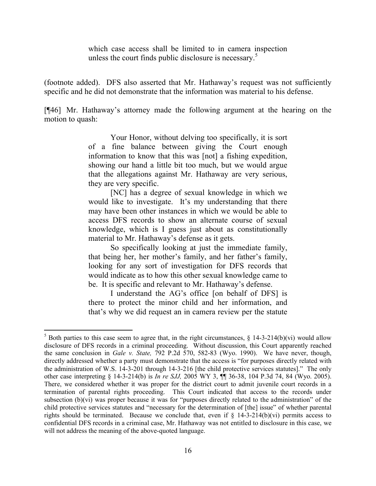which case access shall be limited to in camera inspection unless the court finds public disclosure is necessary.<sup>5</sup>

(footnote added). DFS also asserted that Mr. Hathaway's request was not sufficiently specific and he did not demonstrate that the information was material to his defense.

[¶46] Mr. Hathaway's attorney made the following argument at the hearing on the motion to quash:

> Your Honor, without delving too specifically, it is sort of a fine balance between giving the Court enough information to know that this was [not] a fishing expedition, showing our hand a little bit too much, but we would argue that the allegations against Mr. Hathaway are very serious, they are very specific.

> [NC] has a degree of sexual knowledge in which we would like to investigate. It's my understanding that there may have been other instances in which we would be able to access DFS records to show an alternate course of sexual knowledge, which is I guess just about as constitutionally material to Mr. Hathaway's defense as it gets.

> So specifically looking at just the immediate family, that being her, her mother's family, and her father's family, looking for any sort of investigation for DFS records that would indicate as to how this other sexual knowledge came to be. It is specific and relevant to Mr. Hathaway's defense.

> I understand the AG's office [on behalf of DFS] is there to protect the minor child and her information, and that's why we did request an in camera review per the statute

l

<sup>&</sup>lt;sup>5</sup> Both parties to this case seem to agree that, in the right circumstances,  $\S$  14-3-214(b)(vi) would allow disclosure of DFS records in a criminal proceeding. Without discussion, this Court apparently reached the same conclusion in *Gale v. State,* 792 P.2d 570, 582-83 (Wyo. 1990). We have never, though, directly addressed whether a party must demonstrate that the access is "for purposes directly related with the administration of W.S. 14-3-201 through 14-3-216 [the child protective services statutes]."The only other case interpreting § 14-3-214(b) is *In re SJJ,* 2005 WY 3, ¶¶ 36-38, 104 P.3d 74, 84 (Wyo. 2005). There, we considered whether it was proper for the district court to admit juvenile court records in a termination of parental rights proceeding. This Court indicated that access to the records under subsection (b)(vi) was proper because it was for "purposes directly related to the administration" of the child protective services statutes and "necessary for the determination of [the] issue" of whether parental rights should be terminated. Because we conclude that, even if  $\S$  14-3-214(b)(vi) permits access to confidential DFS records in a criminal case, Mr. Hathaway was not entitled to disclosure in this case, we will not address the meaning of the above-quoted language.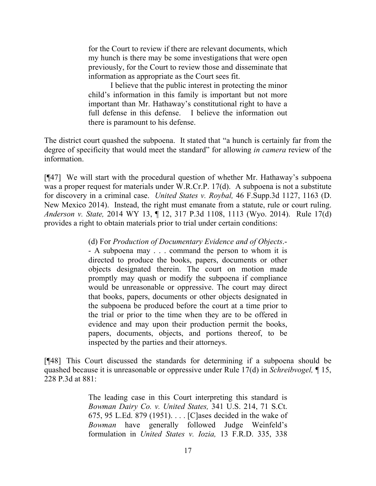for the Court to review if there are relevant documents, which my hunch is there may be some investigations that were open previously, for the Court to review those and disseminate that information as appropriate as the Court sees fit.

I believe that the public interest in protecting the minor child's information in this family is important but not more important than Mr. Hathaway's constitutional right to have a full defense in this defense. I believe the information out there is paramount to his defense.

The district court quashed the subpoena. It stated that "a hunch is certainly far from the degree of specificity that would meet the standard" for allowing *in camera* review of the information.

[¶47] We will start with the procedural question of whether Mr. Hathaway's subpoena was a proper request for materials under W.R.Cr.P. 17(d). A subpoena is not a substitute for discovery in a criminal case. *United States v. Roybal,* 46 F.Supp.3d 1127, 1163 (D. New Mexico 2014). Instead, the right must emanate from a statute, rule or court ruling. *Anderson v. State,* 2014 WY 13, ¶ 12, 317 P.3d 1108, 1113 (Wyo. 2014). Rule 17(d) provides a right to obtain materials prior to trial under certain conditions:

(d) For *Production of Documentary Evidence and of Objects*.-

- A subpoena may . . . command the person to whom it is directed to produce the books, papers, documents or other objects designated therein. The court on motion made promptly may quash or modify the subpoena if compliance would be unreasonable or oppressive. The court may direct that books, papers, documents or other objects designated in the subpoena be produced before the court at a time prior to the trial or prior to the time when they are to be offered in evidence and may upon their production permit the books, papers, documents, objects, and portions thereof, to be inspected by the parties and their attorneys.

[¶48] This Court discussed the standards for determining if a subpoena should be quashed because it is unreasonable or oppressive under Rule 17(d) in *Schreibvogel,* ¶ 15, 228 P.3d at 881:

> The leading case in this Court interpreting this standard is *Bowman Dairy Co. v. United States,* 341 U.S. 214, 71 S.Ct. 675, 95 L.Ed. 879 (1951). . . . [C]ases decided in the wake of *Bowman* have generally followed Judge Weinfeld's formulation in *United States v. Iozia,* 13 F.R.D. 335, 338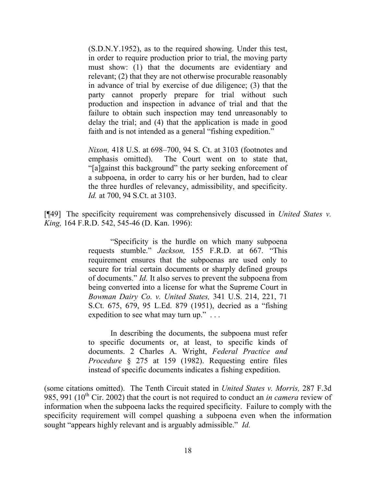(S.D.N.Y.1952), as to the required showing. Under this test, in order to require production prior to trial, the moving party must show: (1) that the documents are evidentiary and relevant; (2) that they are not otherwise procurable reasonably in advance of trial by exercise of due diligence; (3) that the party cannot properly prepare for trial without such production and inspection in advance of trial and that the failure to obtain such inspection may tend unreasonably to delay the trial; and (4) that the application is made in good faith and is not intended as a general "fishing expedition."

*Nixon,* 418 U.S. at 698–700, 94 S. Ct. at 3103 (footnotes and emphasis omitted). The Court went on to state that, "[a]gainst this background" the party seeking enforcement of a subpoena, in order to carry his or her burden, had to clear the three hurdles of relevancy, admissibility, and specificity. *Id.* at 700, 94 S.Ct. at 3103.

[¶49] The specificity requirement was comprehensively discussed in *United States v. King,* 164 F.R.D. 542, 545-46 (D. Kan. 1996):

> "Specificity is the hurdle on which many subpoena requests stumble." *Jackson,* 155 F.R.D. at 667. "This requirement ensures that the subpoenas are used only to secure for trial certain documents or sharply defined groups of documents." *Id.* It also serves to prevent the subpoena from being converted into a license for what the Supreme Court in *Bowman Dairy Co. v. United States,* 341 U.S. 214, 221, 71 S.Ct. 675, 679, 95 L.Ed. 879 (1951), decried as a "fishing expedition to see what may turn up."...

> In describing the documents, the subpoena must refer to specific documents or, at least, to specific kinds of documents. 2 Charles A. Wright, *Federal Practice and Procedure* § 275 at 159 (1982). Requesting entire files instead of specific documents indicates a fishing expedition.

(some citations omitted). The Tenth Circuit stated in *United States v. Morris,* 287 F.3d 985, 991 ( $10^{th}$  Cir. 2002) that the court is not required to conduct an *in camera* review of information when the subpoena lacks the required specificity. Failure to comply with the specificity requirement will compel quashing a subpoena even when the information sought "appears highly relevant and is arguably admissible." *Id.*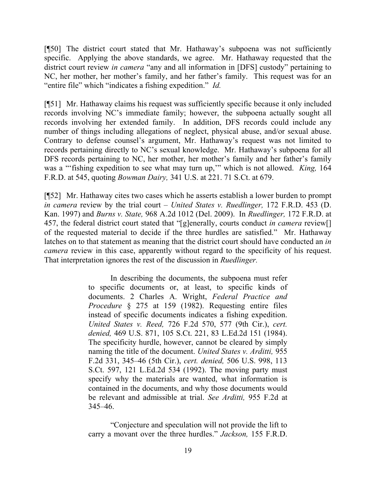[¶50] The district court stated that Mr. Hathaway's subpoena was not sufficiently specific. Applying the above standards, we agree. Mr. Hathaway requested that the district court review *in camera* "any and all information in [DFS] custody" pertaining to NC, her mother, her mother's family, and her father's family. This request was for an "entire file" which "indicates a fishing expedition." *Id.* 

[¶51] Mr. Hathaway claims his request was sufficiently specific because it only included records involving NC's immediate family; however, the subpoena actually sought all records involving her extended family. In addition, DFS records could include any number of things including allegations of neglect, physical abuse, and/or sexual abuse. Contrary to defense counsel's argument, Mr. Hathaway's request was not limited to records pertaining directly to NC's sexual knowledge. Mr. Hathaway's subpoena for all DFS records pertaining to NC, her mother, her mother's family and her father's family was a "'fishing expedition to see what may turn up,'" which is not allowed. *King,* 164 F.R.D. at 545, quoting *Bowman Dairy,* 341 U.S. at 221. 71 S.Ct. at 679.

[¶52] Mr. Hathaway cites two cases which he asserts establish a lower burden to prompt *in camera* review by the trial court – *United States v. Ruedlinger,* 172 F.R.D. 453 (D. Kan. 1997) and *Burns v. State,* 968 A.2d 1012 (Del. 2009). In *Ruedlinger,* 172 F.R.D. at 457, the federal district court stated that "[g]enerally, courts conduct *in camera* review[] of the requested material to decide if the three hurdles are satisfied." Mr. Hathaway latches on to that statement as meaning that the district court should have conducted an *in camera* review in this case, apparently without regard to the specificity of his request. That interpretation ignores the rest of the discussion in *Ruedlinger.* 

> In describing the documents, the subpoena must refer to specific documents or, at least, to specific kinds of documents. 2 Charles A. Wright, *Federal Practice and Procedure* § 275 at 159 (1982). Requesting entire files instead of specific documents indicates a fishing expedition. *United States v. Reed,* 726 F.2d 570, 577 (9th Cir.), *cert. denied,* 469 U.S. 871, 105 S.Ct. 221, 83 L.Ed.2d 151 (1984). The specificity hurdle, however, cannot be cleared by simply naming the title of the document. *United States v. Arditti,* 955 F.2d 331, 345–46 (5th Cir.), *cert. denied,* 506 U.S. 998, 113 S.Ct. 597, 121 L.Ed.2d 534 (1992). The moving party must specify why the materials are wanted, what information is contained in the documents, and why those documents would be relevant and admissible at trial. *See Arditti,* 955 F.2d at 345–46.

> "Conjecture and speculation will not provide the lift to carry a movant over the three hurdles." *Jackson,* 155 F.R.D.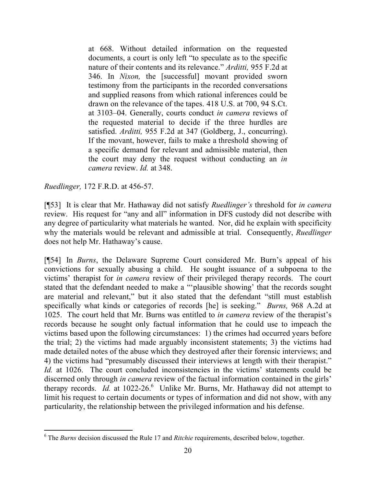at 668. Without detailed information on the requested documents, a court is only left "to speculate as to the specific nature of their contents and its relevance." *Arditti,* 955 F.2d at 346. In *Nixon,* the [successful] movant provided sworn testimony from the participants in the recorded conversations and supplied reasons from which rational inferences could be drawn on the relevance of the tapes. 418 U.S. at 700, 94 S.Ct. at 3103–04. Generally, courts conduct *in camera* reviews of the requested material to decide if the three hurdles are satisfied. *Arditti,* 955 F.2d at 347 (Goldberg, J., concurring). If the movant, however, fails to make a threshold showing of a specific demand for relevant and admissible material, then the court may deny the request without conducting an *in camera* review. *Id.* at 348.

*Ruedlinger,* 172 F.R.D. at 456-57.

l

[¶53] It is clear that Mr. Hathaway did not satisfy *Ruedlinger's* threshold for *in camera*  review. His request for "any and all" information in DFS custody did not describe with any degree of particularity what materials he wanted. Nor, did he explain with specificity why the materials would be relevant and admissible at trial. Consequently, *Ruedlinger*  does not help Mr. Hathaway's cause.

[¶54] In *Burns*, the Delaware Supreme Court considered Mr. Burn's appeal of his convictions for sexually abusing a child. He sought issuance of a subpoena to the victims' therapist for *in camera* review of their privileged therapy records. The court stated that the defendant needed to make a "'plausible showing' that the records sought are material and relevant," but it also stated that the defendant "still must establish specifically what kinds or categories of records [he] is seeking." *Burns,* 968 A.2d at 1025. The court held that Mr. Burns was entitled to *in camera* review of the therapist's records because he sought only factual information that he could use to impeach the victims based upon the following circumstances: 1) the crimes had occurred years before the trial; 2) the victims had made arguably inconsistent statements; 3) the victims had made detailed notes of the abuse which they destroyed after their forensic interviews; and 4) the victims had "presumably discussed their interviews at length with their therapist." *Id.* at 1026. The court concluded inconsistencies in the victims' statements could be discerned only through *in camera* review of the factual information contained in the girls' therapy records. *Id.* at 1022-26.<sup>6</sup> Unlike Mr. Burns, Mr. Hathaway did not attempt to limit his request to certain documents or types of information and did not show, with any particularity, the relationship between the privileged information and his defense.

<sup>6</sup> The *Burns* decision discussed the Rule 17 and *Ritchie* requirements, described below, together.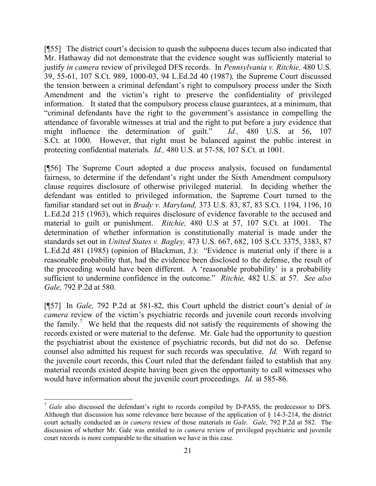[¶55] The district court's decision to quash the subpoena duces tecum also indicated that Mr. Hathaway did not demonstrate that the evidence sought was sufficiently material to justify *in camera* review of privileged DFS records. In *Pennsylvania v. Ritchie,* 480 U.S. 39, 55-61, 107 S.Ct. 989, 1000-03, 94 L.Ed.2d 40 (1987)*,* the Supreme Court discussed the tension between a criminal defendant's right to compulsory process under the Sixth Amendment and the victim's right to preserve the confidentiality of privileged information. It stated that the compulsory process clause guarantees, at a minimum, that "criminal defendants have the right to the government's assistance in compelling the attendance of favorable witnesses at trial and the right to put before a jury evidence that might influence the determination of guilt." *Id.,* 480 U.S. at 56, 107 S.Ct. at 1000. However, that right must be balanced against the public interest in protecting confidential materials. *Id.,* 480 U.S. at 57-58, 107 S.Ct. at 1001.

[¶56] The Supreme Court adopted a due process analysis, focused on fundamental fairness, to determine if the defendant's right under the Sixth Amendment compulsory clause requires disclosure of otherwise privileged material. In deciding whether the defendant was entitled to privileged information, the Supreme Court turned to the familiar standard set out in *Brady v. Maryland,* 373 U.S. 83, 87, 83 S.Ct. 1194, 1196, 10 L.Ed.2d 215 (1963), which requires disclosure of evidence favorable to the accused and material to guilt or punishment. *Ritchie,* 480 U.S at 57, 107 S.Ct. at 1001. The determination of whether information is constitutionally material is made under the standards set out in *United States v. Bagley,* 473 U.S. 667, 682, 105 S.Ct. 3375, 3383, 87 L.Ed.2d 481 (1985) (opinion of Blackmun, J.): "Evidence is material only if there is a reasonable probability that, had the evidence been disclosed to the defense, the result of the proceeding would have been different. A 'reasonable probability' is a probability sufficient to undermine confidence in the outcome." *Ritchie,* 482 U.S. at 57. *See also Gale,* 792 P.2d at 580.

[¶57] In *Gale,* 792 P.2d at 581-82, this Court upheld the district court's denial of *in camera* review of the victim's psychiatric records and juvenile court records involving the family.<sup>7</sup> We held that the requests did not satisfy the requirements of showing the records existed or were material to the defense. Mr. Gale had the opportunity to question the psychiatrist about the existence of psychiatric records, but did not do so. Defense counsel also admitted his request for such records was speculative. *Id.* With regard to the juvenile court records, this Court ruled that the defendant failed to establish that any material records existed despite having been given the opportunity to call witnesses who would have information about the juvenile court proceedings. *Id.* at 585-86.

 $\overline{a}$ 

<sup>&</sup>lt;sup>7</sup> Gale also discussed the defendant's right to records compiled by D-PASS, the predecessor to DFS. Although that discussion has some relevance here because of the application of § 14-3-214, the district court actually conducted an *in camera* review of those materials in *Gale*. *Gale*, 792 P.2d at 582. The discussion of whether Mr. Gale was entitled to *in camera* review of privileged psychiatric and juvenile court records is more comparable to the situation we have in this case.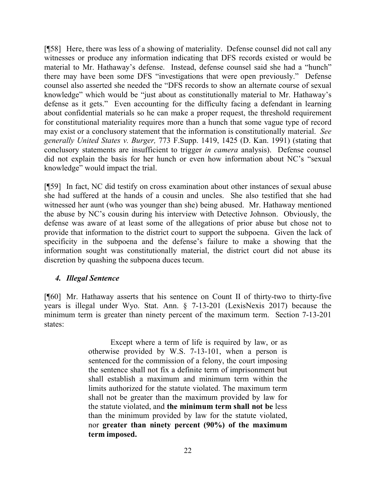[¶58] Here, there was less of a showing of materiality. Defense counsel did not call any witnesses or produce any information indicating that DFS records existed or would be material to Mr. Hathaway's defense. Instead, defense counsel said she had a "hunch" there may have been some DFS "investigations that were open previously." Defense counsel also asserted she needed the "DFS records to show an alternate course of sexual knowledge" which would be "just about as constitutionally material to Mr. Hathaway's defense as it gets." Even accounting for the difficulty facing a defendant in learning about confidential materials so he can make a proper request, the threshold requirement for constitutional materiality requires more than a hunch that some vague type of record may exist or a conclusory statement that the information is constitutionally material. *See generally United States v. Burger,* 773 F.Supp. 1419, 1425 (D. Kan. 1991) (stating that conclusory statements are insufficient to trigger *in camera* analysis). Defense counsel did not explain the basis for her hunch or even how information about NC's "sexual knowledge" would impact the trial.

[¶59] In fact, NC did testify on cross examination about other instances of sexual abuse she had suffered at the hands of a cousin and uncles. She also testified that she had witnessed her aunt (who was younger than she) being abused. Mr. Hathaway mentioned the abuse by NC's cousin during his interview with Detective Johnson. Obviously, the defense was aware of at least some of the allegations of prior abuse but chose not to provide that information to the district court to support the subpoena. Given the lack of specificity in the subpoena and the defense's failure to make a showing that the information sought was constitutionally material, the district court did not abuse its discretion by quashing the subpoena duces tecum.

## *4. Illegal Sentence*

[¶60] Mr. Hathaway asserts that his sentence on Count II of thirty-two to thirty-five years is illegal under Wyo. Stat. Ann. § 7-13-201 (LexisNexis 2017) because the minimum term is greater than ninety percent of the maximum term. Section 7-13-201 states:

> Except where a term of life is required by law, or as otherwise provided by W.S. 7-13-101, when a person is sentenced for the commission of a felony, the court imposing the sentence shall not fix a definite term of imprisonment but shall establish a maximum and minimum term within the limits authorized for the statute violated. The maximum term shall not be greater than the maximum provided by law for the statute violated, and **the minimum term shall not be** less than the minimum provided by law for the statute violated, nor **greater than ninety percent (90%) of the maximum term imposed.**